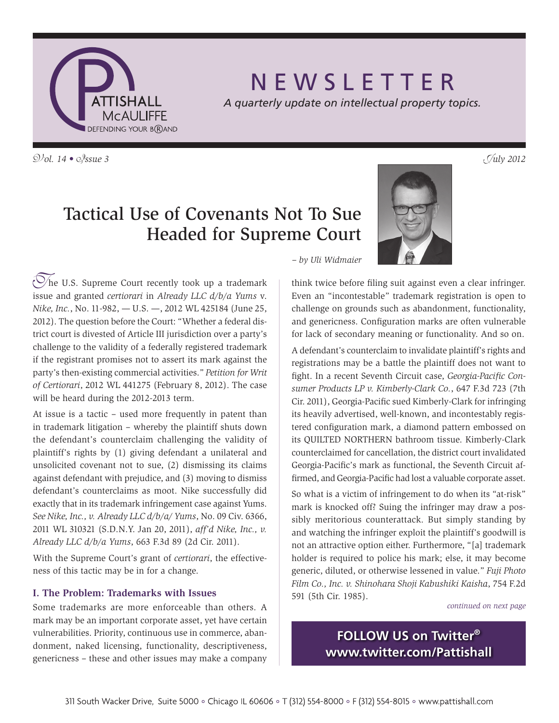

# N E W S L E T T E R

*A quarterly update on intellectual property topics.*

 $\mathcal{D}/\mathcal{D}l$ . 14 •  $\mathcal{D}/\mathcal{S}$ *sue* 3

# Tactical Use of Covenants Not To Sue Headed for Supreme Court

 $\circled{C}$ he U.S. Supreme Court recently took up a trademark issue and granted *certiorari* in *Already LLC d/b/a Yums* v. *Nike, Inc.*, No. 11-982, — U.S. —, 2012 WL 425184 (June 25, 2012). The question before the Court: "Whether a federal district court is divested of Article III jurisdiction over a party's challenge to the validity of a federally registered trademark if the registrant promises not to assert its mark against the party's then-existing commercial activities." *Petition for Writ of Certiorari*, 2012 WL 441275 (February 8, 2012). The case will be heard during the 2012-2013 term.

At issue is a tactic – used more frequently in patent than in trademark litigation – whereby the plaintiff shuts down the defendant's counterclaim challenging the validity of plaintiff's rights by (1) giving defendant a unilateral and unsolicited covenant not to sue, (2) dismissing its claims against defendant with prejudice, and (3) moving to dismiss defendant's counterclaims as moot. Nike successfully did exactly that in its trademark infringement case against Yums. *See Nike, Inc., v. Already LLC d/b/a/ Yums*, No. 09 Civ. 6366, 2011 WL 310321 (S.D.N.Y. Jan 20, 2011), *aff'd Nike, Inc., v. Already LLC d/b/a Yums*, 663 F.3d 89 (2d Cir. 2011).

With the Supreme Court's grant of *certiorari*, the effectiveness of this tactic may be in for a change.

### **I. The Problem: Trademarks with Issues**

Some trademarks are more enforceable than others. A mark may be an important corporate asset, yet have certain vulnerabilities. Priority, continuous use in commerce, abandonment, naked licensing, functionality, descriptiveness, genericness – these and other issues may make a company



*– by Uli Widmaier*

think twice before filing suit against even a clear infringer. Even an "incontestable" trademark registration is open to challenge on grounds such as abandonment, functionality, and genericness. Configuration marks are often vulnerable for lack of secondary meaning or functionality. And so on.

A defendant's counterclaim to invalidate plaintiff's rights and registrations may be a battle the plaintiff does not want to fight. In a recent Seventh Circuit case, *Georgia-Pacific Consumer Products LP v. Kimberly-Clark Co.*, 647 F.3d 723 (7th Cir. 2011), Georgia-Pacific sued Kimberly-Clark for infringing its heavily advertised, well-known, and incontestably registered configuration mark, a diamond pattern embossed on its QUILTED NORTHERN bathroom tissue. Kimberly-Clark counterclaimed for cancellation, the district court invalidated Georgia-Pacific's mark as functional, the Seventh Circuit affirmed, and Georgia-Pacific had lost a valuable corporate asset.

So what is a victim of infringement to do when its "at-risk" mark is knocked off? Suing the infringer may draw a possibly meritorious counterattack. But simply standing by and watching the infringer exploit the plaintiff's goodwill is not an attractive option either. Furthermore, "[a] trademark holder is required to police his mark; else, it may become generic, diluted, or otherwise lessened in value." *Fuji Photo Film Co., Inc. v. Shinohara Shoji Kabushiki Kaisha*, 754 F.2d 591 (5th Cir. 1985).

*continued on next page*

**FOLLOW US on Twitter® www.twitter.com/Pattishall**

311 South Wacker Drive, Suite 5000 · Chicago IL 60606 · T (312) 554-8000 · F (312) 554-8015 · www.pattishall.com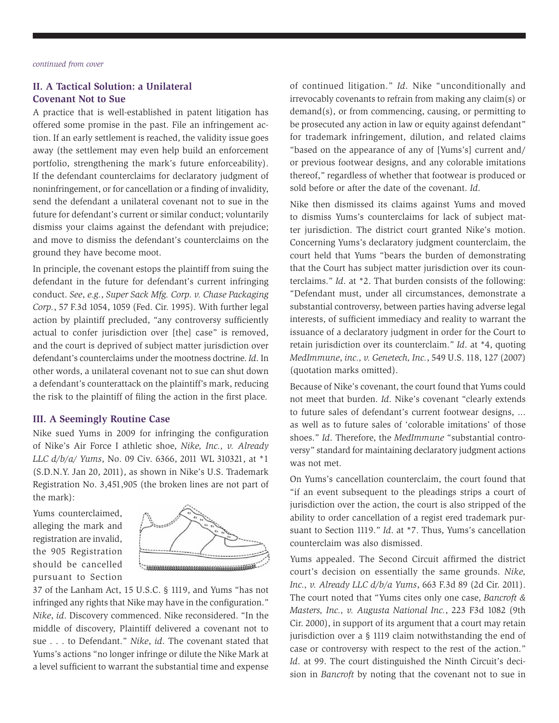# **II. A Tactical Solution: a Unilateral Covenant Not to Sue**

A practice that is well-established in patent litigation has offered some promise in the past. File an infringement action. If an early settlement is reached, the validity issue goes away (the settlement may even help build an enforcement portfolio, strengthening the mark's future enforceability). If the defendant counterclaims for declaratory judgment of noninfringement, or for cancellation or a finding of invalidity, send the defendant a unilateral covenant not to sue in the future for defendant's current or similar conduct; voluntarily dismiss your claims against the defendant with prejudice; and move to dismiss the defendant's counterclaims on the ground they have become moot.

In principle, the covenant estops the plaintiff from suing the defendant in the future for defendant's current infringing conduct. *See*, *e.g.*, *Super Sack Mfg. Corp. v. Chase Packaging Corp.*, 57 F.3d 1054, 1059 (Fed. Cir. 1995). With further legal action by plaintiff precluded, "any controversy sufficiently actual to confer jurisdiction over [the] case" is removed, and the court is deprived of subject matter jurisdiction over defendant's counterclaims under the mootness doctrine. *Id*. In other words, a unilateral covenant not to sue can shut down a defendant's counterattack on the plaintiff's mark, reducing the risk to the plaintiff of filing the action in the first place.

## **III. A Seemingly Routine Case**

Nike sued Yums in 2009 for infringing the configuration of Nike's Air Force I athletic shoe, *Nike, Inc., v. Already LLC d/b/a/ Yums*, No. 09 Civ. 6366, 2011 WL 310321, at \*1 (S.D.N.Y. Jan 20, 2011), as shown in Nike's U.S. Trademark Registration No. 3,451,905 (the broken lines are not part of the mark):

Yums counterclaimed, alleging the mark and registration are invalid, the 905 Registration should be cancelled pursuant to Section



37 of the Lanham Act, 15 U.S.C. § 1119, and Yums "has not infringed any rights that Nike may have in the configuration." *Nike*, *id*. Discovery commenced. Nike reconsidered. "In the middle of discovery, Plaintiff delivered a covenant not to sue . . . to Defendant." *Nike*, *id*. The covenant stated that Yums's actions "no longer infringe or dilute the Nike Mark at a level sufficient to warrant the substantial time and expense of continued litigation." *Id*. Nike "unconditionally and irrevocably covenants to refrain from making any claim(s) or demand(s), or from commencing, causing, or permitting to be prosecuted any action in law or equity against defendant" for trademark infringement, dilution, and related claims "based on the appearance of any of [Yums's] current and/ or previous footwear designs, and any colorable imitations thereof," regardless of whether that footwear is produced or sold before or after the date of the covenant. *Id*.

Nike then dismissed its claims against Yums and moved to dismiss Yums's counterclaims for lack of subject matter jurisdiction. The district court granted Nike's motion. Concerning Yums's declaratory judgment counterclaim, the court held that Yums "bears the burden of demonstrating that the Court has subject matter jurisdiction over its counterclaims." *Id*. at \*2. That burden consists of the following: "Defendant must, under all circumstances, demonstrate a substantial controversy, between parties having adverse legal interests, of sufficient immediacy and reality to warrant the issuance of a declaratory judgment in order for the Court to retain jurisdiction over its counterclaim." *Id*. at \*4, quoting *MedImmune*, *inc., v. Genetech, Inc.*, 549 U.S. 118, 127 (2007) (quotation marks omitted).

Because of Nike's covenant, the court found that Yums could not meet that burden. *Id*. Nike's covenant "clearly extends to future sales of defendant's current footwear designs, ... as well as to future sales of 'colorable imitations' of those shoes." *Id*. Therefore, the *MedImmune* "substantial controversy" standard for maintaining declaratory judgment actions was not met.

On Yums's cancellation counterclaim, the court found that "if an event subsequent to the pleadings strips a court of jurisdiction over the action, the court is also stripped of the ability to order cancellation of a regist ered trademark pursuant to Section 1119." *Id*. at \*7. Thus, Yums's cancellation counterclaim was also dismissed.

Yums appealed. The Second Circuit affirmed the district court's decision on essentially the same grounds. *Nike, Inc., v. Already LLC d/b/a Yums*, 663 F.3d 89 (2d Cir. 2011). The court noted that "Yums cites only one case, *Bancroft & Masters, Inc., v. Augusta National Inc.*, 223 F3d 1082 (9th Cir. 2000), in support of its argument that a court may retain jurisdiction over a § 1119 claim notwithstanding the end of case or controversy with respect to the rest of the action." Id. at 99. The court distinguished the Ninth Circuit's decision in *Bancroft* by noting that the covenant not to sue in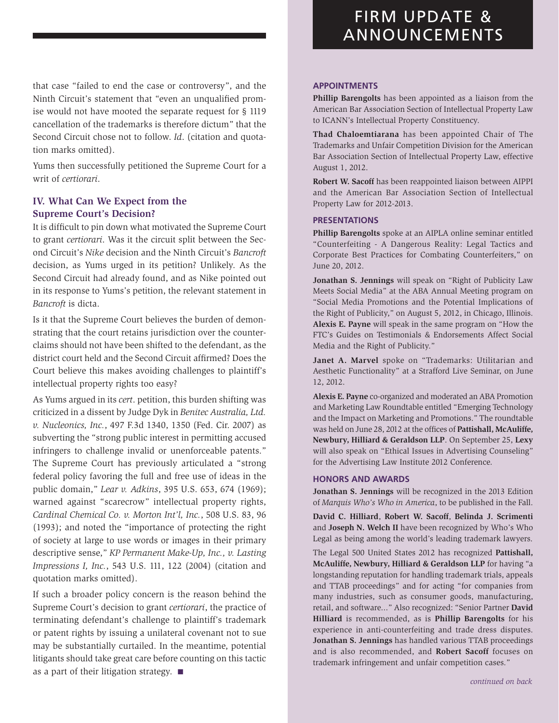that case "failed to end the case or controversy", and the Ninth Circuit's statement that "even an unqualified promise would not have mooted the separate request for § 1119 cancellation of the trademarks is therefore dictum" that the Second Circuit chose not to follow. *Id*. (citation and quotation marks omitted).

Yums then successfully petitioned the Supreme Court for a writ of *certiorari*.

### **IV. What Can We Expect from the Supreme Court's Decision?**

It is difficult to pin down what motivated the Supreme Court to grant *certiorari*. Was it the circuit split between the Second Circuit's *Nike* decision and the Ninth Circuit's *Bancroft* decision, as Yums urged in its petition? Unlikely. As the Second Circuit had already found, and as Nike pointed out in its response to Yums's petition, the relevant statement in *Bancroft* is dicta.

Is it that the Supreme Court believes the burden of demonstrating that the court retains jurisdiction over the counterclaims should not have been shifted to the defendant, as the district court held and the Second Circuit affirmed? Does the Court believe this makes avoiding challenges to plaintiff's intellectual property rights too easy?

As Yums argued in its *cert*. petition, this burden shifting was criticized in a dissent by Judge Dyk in *Benitec Australia, Ltd. v. Nucleonics, Inc.*, 497 F.3d 1340, 1350 (Fed. Cir. 2007) as subverting the "strong public interest in permitting accused infringers to challenge invalid or unenforceable patents." The Supreme Court has previously articulated a "strong federal policy favoring the full and free use of ideas in the public domain," *Lear v. Adkins*, 395 U.S. 653, 674 (1969); warned against "scarecrow" intellectual property rights, *Cardinal Chemical Co. v. Morton Int'l, Inc.*, 508 U.S. 83, 96 (1993); and noted the "importance of protecting the right of society at large to use words or images in their primary descriptive sense," *KP Permanent Make-Up, Inc., v. Lasting Impressions I, Inc.*, 543 U.S. 111, 122 (2004) (citation and quotation marks omitted).

If such a broader policy concern is the reason behind the Supreme Court's decision to grant *certiorari*, the practice of terminating defendant's challenge to plaintiff's trademark or patent rights by issuing a unilateral covenant not to sue may be substantially curtailed. In the meantime, potential litigants should take great care before counting on this tactic as a part of their litigation strategy.  $\blacksquare$ 

#### **APPOINTMENTS**

**Phillip Barengolts** has been appointed as a liaison from the American Bar Association Section of Intellectual Property Law to ICANN's Intellectual Property Constituency.

**Thad Chaloemtiarana** has been appointed Chair of The Trademarks and Unfair Competition Division for the American Bar Association Section of Intellectual Property Law, effective August 1, 2012.

**Robert W. Sacoff** has been reappointed liaison between AIPPI and the American Bar Association Section of Intellectual Property Law for 2012-2013.

#### **PRESENTATIONS**

**Phillip Barengolts** spoke at an AIPLA online seminar entitled "Counterfeiting - A Dangerous Reality: Legal Tactics and Corporate Best Practices for Combating Counterfeiters," on June 20, 2012.

**Jonathan S. Jennings** will speak on "Right of Publicity Law Meets Social Media" at the ABA Annual Meeting program on "Social Media Promotions and the Potential Implications of the Right of Publicity," on August 5, 2012, in Chicago, Illinois. **Alexis E. Payne** will speak in the same program on "How the FTC's Guides on Testimonials & Endorsements Affect Social Media and the Right of Publicity."

**Janet A. Marvel** spoke on "Trademarks: Utilitarian and Aesthetic Functionality" at a Strafford Live Seminar, on June 12, 2012.

**Alexis E. Payne** co-organized and moderated an ABA Promotion and Marketing Law Roundtable entitled "Emerging Technology and the Impact on Marketing and Promotions." The roundtable was held on June 28, 2012 at the offices of **Pattishall, McAuliffe, Newbury, Hilliard & Geraldson LLP**. On September 25, **Lexy** will also speak on "Ethical Issues in Advertising Counseling" for the Advertising Law Institute 2012 Conference.

#### **HONORS AND AWARDS**

**Jonathan S. Jennings** will be recognized in the 2013 Edition of *Marquis Who's Who in America*, to be published in the Fall.

**David C. Hilliard**, **Robert W. Sacoff**, **Belinda J. Scrimenti** and **Joseph N. Welch II** have been recognized by Who's Who Legal as being among the world's leading trademark lawyers.

The Legal 500 United States 2012 has recognized **Pattishall, McAuliffe, Newbury, Hilliard & Geraldson LLP** for having "a longstanding reputation for handling trademark trials, appeals and TTAB proceedings" and for acting "for companies from many industries, such as consumer goods, manufacturing, retail, and software..." Also recognized: "Senior Partner **David Hilliard** is recommended, as is **Phillip Barengolts** for his experience in anti-counterfeiting and trade dress disputes. **Jonathan S. Jennings** has handled various TTAB proceedings and is also recommended, and **Robert Sacoff** focuses on trademark infringement and unfair competition cases."